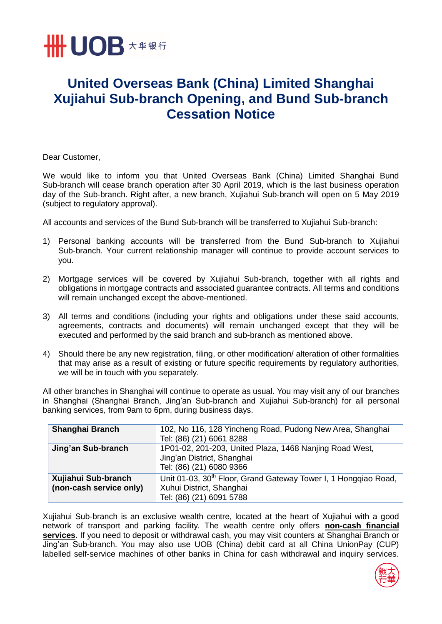

## **United Overseas Bank (China) Limited Shanghai Xujiahui Sub-branch Opening, and Bund Sub-branch Cessation Notice**

Dear Customer,

We would like to inform you that United Overseas Bank (China) Limited Shanghai Bund Sub-branch will cease branch operation after 30 April 2019, which is the last business operation day of the Sub-branch. Right after, a new branch, Xujiahui Sub-branch will open on 5 May 2019 (subject to regulatory approval).

All accounts and services of the Bund Sub-branch will be transferred to Xujiahui Sub-branch:

- 1) Personal banking accounts will be transferred from the Bund Sub-branch to Xujiahui Sub-branch. Your current relationship manager will continue to provide account services to you.
- 2) Mortgage services will be covered by Xujiahui Sub-branch, together with all rights and obligations in mortgage contracts and associated guarantee contracts. All terms and conditions will remain unchanged except the above-mentioned.
- 3) All terms and conditions (including your rights and obligations under these said accounts, agreements, contracts and documents) will remain unchanged except that they will be executed and performed by the said branch and sub-branch as mentioned above.
- 4) Should there be any new registration, filing, or other modification/ alteration of other formalities that may arise as a result of existing or future specific requirements by regulatory authorities, we will be in touch with you separately.

All other branches in Shanghai will continue to operate as usual. You may visit any of our branches in Shanghai (Shanghai Branch, Jing'an Sub-branch and Xujiahui Sub-branch) for all personal banking services, from 9am to 6pm, during business days.

| <b>Shanghai Branch</b>                         | 102, No 116, 128 Yincheng Road, Pudong New Area, Shanghai<br>Tel: (86) (21) 6061 8288                                               |
|------------------------------------------------|-------------------------------------------------------------------------------------------------------------------------------------|
| Jing'an Sub-branch                             | 1P01-02, 201-203, United Plaza, 1468 Nanjing Road West,<br>Jing'an District, Shanghai<br>Tel: (86) (21) 6080 9366                   |
| Xujiahui Sub-branch<br>(non-cash service only) | Unit 01-03, 30 <sup>th</sup> Floor, Grand Gateway Tower I, 1 Hongqiao Road,<br>Xuhui District, Shanghai<br>Tel: (86) (21) 6091 5788 |

Xujiahui Sub-branch is an exclusive wealth centre, located at the heart of Xujiahui with a good network of transport and parking facility. The wealth centre only offers **non-cash financial services**. If you need to deposit or withdrawal cash, you may visit counters at Shanghai Branch or Jing'an Sub-branch. You may also use UOB (China) debit card at all China UnionPay (CUP) labelled self-service machines of other banks in China for cash withdrawal and inquiry services.